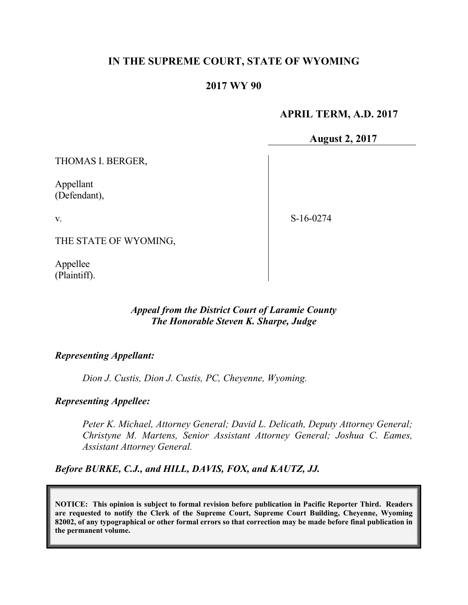# **IN THE SUPREME COURT, STATE OF WYOMING**

## **2017 WY 90**

## **APRIL TERM, A.D. 2017**

**August 2, 2017**

THOMAS I. BERGER,

Appellant (Defendant),

v.

S-16-0274

THE STATE OF WYOMING,

Appellee (Plaintiff).

## *Appeal from the District Court of Laramie County The Honorable Steven K. Sharpe, Judge*

#### *Representing Appellant:*

*Dion J. Custis, Dion J. Custis, PC, Cheyenne, Wyoming.*

*Representing Appellee:*

*Peter K. Michael, Attorney General; David L. Delicath, Deputy Attorney General; Christyne M. Martens, Senior Assistant Attorney General; Joshua C. Eames, Assistant Attorney General.*

*Before BURKE, C.J., and HILL, DAVIS, FOX, and KAUTZ, JJ.*

**NOTICE: This opinion is subject to formal revision before publication in Pacific Reporter Third. Readers are requested to notify the Clerk of the Supreme Court, Supreme Court Building, Cheyenne, Wyoming 82002, of any typographical or other formal errors so that correction may be made before final publication in the permanent volume.**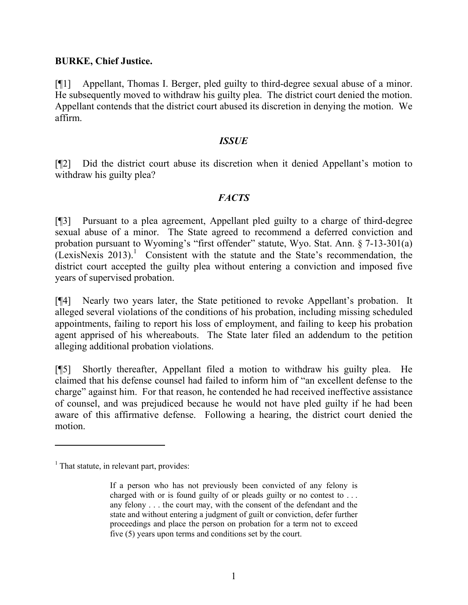## **BURKE, Chief Justice.**

[¶1] Appellant, Thomas I. Berger, pled guilty to third-degree sexual abuse of a minor. He subsequently moved to withdraw his guilty plea. The district court denied the motion. Appellant contends that the district court abused its discretion in denying the motion. We affirm.

## *ISSUE*

[¶2] Did the district court abuse its discretion when it denied Appellant's motion to withdraw his guilty plea?

## *FACTS*

[¶3] Pursuant to a plea agreement, Appellant pled guilty to a charge of third-degree sexual abuse of a minor. The State agreed to recommend a deferred conviction and probation pursuant to Wyoming's "first offender" statute, Wyo. Stat. Ann. § 7-13-301(a)  $(LexisNexis 2013).$ <sup>1</sup> Consistent with the statute and the State's recommendation, the district court accepted the guilty plea without entering a conviction and imposed five years of supervised probation.

[¶4] Nearly two years later, the State petitioned to revoke Appellant's probation. It alleged several violations of the conditions of his probation, including missing scheduled appointments, failing to report his loss of employment, and failing to keep his probation agent apprised of his whereabouts. The State later filed an addendum to the petition alleging additional probation violations.

[¶5] Shortly thereafter, Appellant filed a motion to withdraw his guilty plea. He claimed that his defense counsel had failed to inform him of "an excellent defense to the charge" against him. For that reason, he contended he had received ineffective assistance of counsel, and was prejudiced because he would not have pled guilty if he had been aware of this affirmative defense. Following a hearing, the district court denied the motion.

 $\overline{a}$ 

 $<sup>1</sup>$  That statute, in relevant part, provides:</sup>

If a person who has not previously been convicted of any felony is charged with or is found guilty of or pleads guilty or no contest to . . . any felony . . . the court may, with the consent of the defendant and the state and without entering a judgment of guilt or conviction, defer further proceedings and place the person on probation for a term not to exceed five (5) years upon terms and conditions set by the court.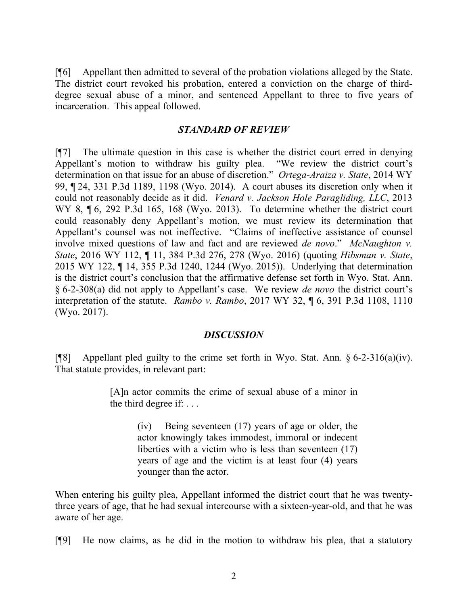[¶6] Appellant then admitted to several of the probation violations alleged by the State. The district court revoked his probation, entered a conviction on the charge of thirddegree sexual abuse of a minor, and sentenced Appellant to three to five years of incarceration. This appeal followed.

## *STANDARD OF REVIEW*

[¶7] The ultimate question in this case is whether the district court erred in denying Appellant's motion to withdraw his guilty plea. "We review the district court's determination on that issue for an abuse of discretion." *Ortega-Araiza v. State*, 2014 WY 99, ¶ 24, 331 P.3d 1189, 1198 (Wyo. 2014). A court abuses its discretion only when it could not reasonably decide as it did. *Venard v. Jackson Hole Paragliding, LLC*, 2013 WY 8,  $\P$  6, 292 P.3d 165, 168 (Wyo. 2013). To determine whether the district court could reasonably deny Appellant's motion, we must review its determination that Appellant's counsel was not ineffective. "Claims of ineffective assistance of counsel involve mixed questions of law and fact and are reviewed *de novo*." *McNaughton v. State*, 2016 WY 112, ¶ 11, 384 P.3d 276, 278 (Wyo. 2016) (quoting *Hibsman v. State*, 2015 WY 122, ¶ 14, 355 P.3d 1240, 1244 (Wyo. 2015)). Underlying that determination is the district court's conclusion that the affirmative defense set forth in Wyo. Stat. Ann. § 6-2-308(a) did not apply to Appellant's case. We review *de novo* the district court's interpretation of the statute. *Rambo v. Rambo*, 2017 WY 32, ¶ 6, 391 P.3d 1108, 1110 (Wyo. 2017).

## *DISCUSSION*

[ $[$ [8] Appellant pled guilty to the crime set forth in Wyo. Stat. Ann. § 6-2-316(a)(iv). That statute provides, in relevant part:

> [A]n actor commits the crime of sexual abuse of a minor in the third degree if: . . .

> > (iv) Being seventeen (17) years of age or older, the actor knowingly takes immodest, immoral or indecent liberties with a victim who is less than seventeen (17) years of age and the victim is at least four (4) years younger than the actor.

When entering his guilty plea, Appellant informed the district court that he was twentythree years of age, that he had sexual intercourse with a sixteen-year-old, and that he was aware of her age.

[¶9] He now claims, as he did in the motion to withdraw his plea, that a statutory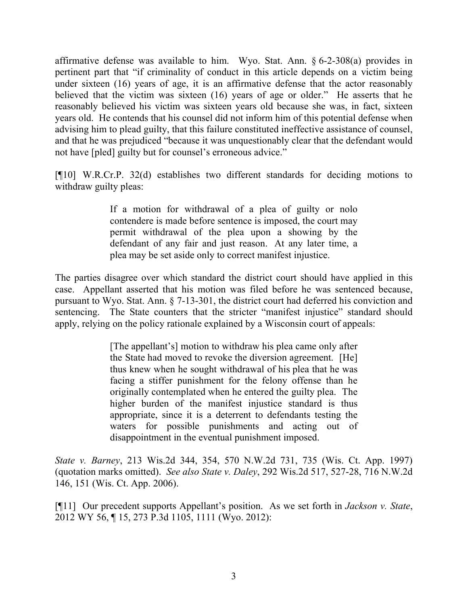affirmative defense was available to him. Wyo. Stat. Ann. § 6-2-308(a) provides in pertinent part that "if criminality of conduct in this article depends on a victim being under sixteen (16) years of age, it is an affirmative defense that the actor reasonably believed that the victim was sixteen (16) years of age or older." He asserts that he reasonably believed his victim was sixteen years old because she was, in fact, sixteen years old. He contends that his counsel did not inform him of this potential defense when advising him to plead guilty, that this failure constituted ineffective assistance of counsel, and that he was prejudiced "because it was unquestionably clear that the defendant would not have [pled] guilty but for counsel's erroneous advice."

[¶10] W.R.Cr.P. 32(d) establishes two different standards for deciding motions to withdraw guilty pleas:

> If a motion for withdrawal of a plea of guilty or nolo contendere is made before sentence is imposed, the court may permit withdrawal of the plea upon a showing by the defendant of any fair and just reason. At any later time, a plea may be set aside only to correct manifest injustice.

The parties disagree over which standard the district court should have applied in this case. Appellant asserted that his motion was filed before he was sentenced because, pursuant to Wyo. Stat. Ann. § 7-13-301, the district court had deferred his conviction and sentencing. The State counters that the stricter "manifest injustice" standard should apply, relying on the policy rationale explained by a Wisconsin court of appeals:

> [The appellant's] motion to withdraw his plea came only after the State had moved to revoke the diversion agreement. [He] thus knew when he sought withdrawal of his plea that he was facing a stiffer punishment for the felony offense than he originally contemplated when he entered the guilty plea. The higher burden of the manifest injustice standard is thus appropriate, since it is a deterrent to defendants testing the waters for possible punishments and acting out of disappointment in the eventual punishment imposed.

*State v. Barney*, 213 Wis.2d 344, 354, 570 N.W.2d 731, 735 (Wis. Ct. App. 1997) (quotation marks omitted). *See also State v. Daley*, 292 Wis.2d 517, 527-28, 716 N.W.2d 146, 151 (Wis. Ct. App. 2006).

[¶11] Our precedent supports Appellant's position. As we set forth in *Jackson v. State*, 2012 WY 56, ¶ 15, 273 P.3d 1105, 1111 (Wyo. 2012):